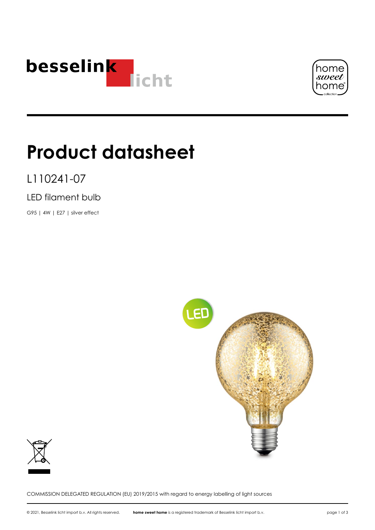



# **Product datasheet**

L110241-07

LED filament bulb

G95 | 4W | E27 | silver effect





COMMISSION DELEGATED REGULATION (EU) 2019/2015 with regard to energy labelling of light sources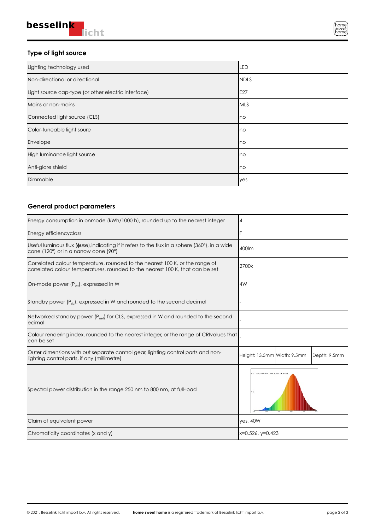### **Type of light source**

| Lighting technology used                            | LED          |
|-----------------------------------------------------|--------------|
| Non-directional or directional                      | <b>INDLS</b> |
| Light source cap-type (or other electric interface) | E27          |
| Mains or non-mains                                  | IMLS         |
| Connected light source (CLS)                        | Ino          |
| Color-tuneable light soure                          | Ino          |
| Envelope                                            | Ino          |
| High luminance light source                         | Ino          |
| Anti-glare shield                                   | Ino          |
| Dimmable                                            | yes          |

## **General product parameters**

| Energy consumption in onmode (kWh/1000 h), rounded up to the nearest integer                                                                                  | 4                                           |
|---------------------------------------------------------------------------------------------------------------------------------------------------------------|---------------------------------------------|
| Energy efficiencyclass                                                                                                                                        | IF                                          |
| Useful luminous flux ( $\phi$ use), indicating if it refers to the flux in a sphere (360 $^{\circ}$ ), in a wide<br>cone (120°) or in a narrow cone (90°)     | 400lm                                       |
| Correlated colour temperature, rounded to the nearest 100 K, or the range of<br>correlated colour temperatures, rounded to the nearest 100 K, that can be set | 2700k                                       |
| On-mode power $(P_{on})$ , expressed in W                                                                                                                     | AW                                          |
| Standby power $(P_{sh})$ , expressed in W and rounded to the second decimal                                                                                   |                                             |
| Networked standby power $(P_{\text{net}})$ for CLS, expressed in W and rounded to the second<br>ecimal                                                        |                                             |
| Colour rendering index, rounded to the nearest integer, or the range of CRIvalues that<br>can be set                                                          |                                             |
| Outer dimensions with out separate control gear, lighting control parts and non-<br>lighting control parts, if any (millimetre)                               | Height: 13.5mm Width: 9.5mm<br>Depth: 9.5mm |
| Spectral power distribution in the range 250 nm to 800 nm, at full-load                                                                                       | <b>ASCREME NO. 8 AO B NO</b>                |
| Claim of equivalent power                                                                                                                                     | yes, 40W                                    |
| Chromaticity coordinates (x and y)                                                                                                                            | x=0.526, y=0.423                            |